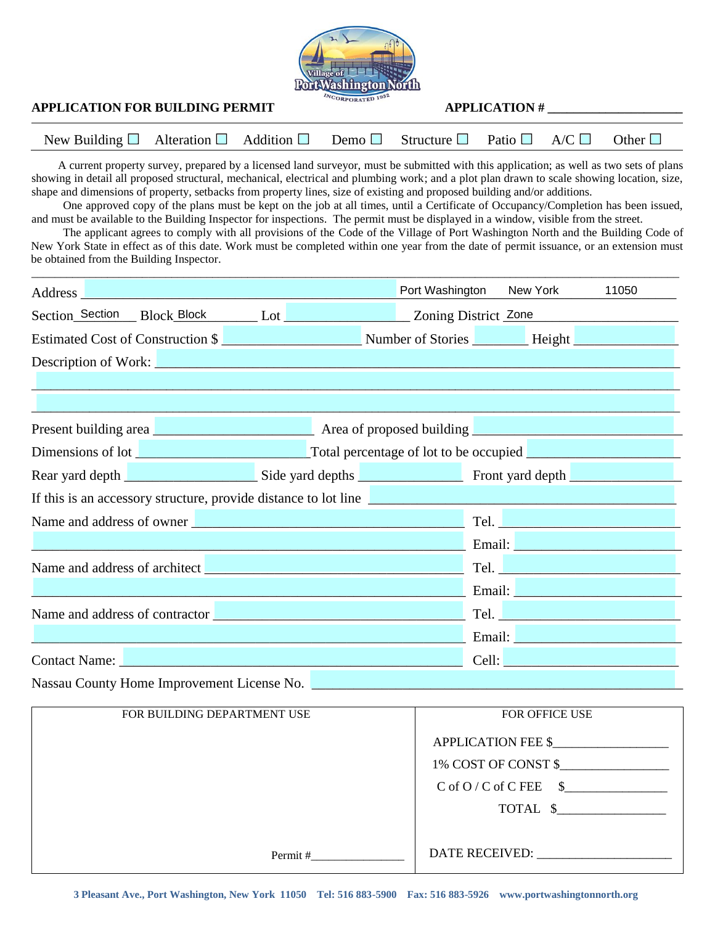

## **APPLICATION FOR BUILDING PERMIT**  $\frac{ln_{\text{CO}_{\text{RPORATED}} 1932}}{4}$  **APPLICATION #**

| New Building $\Box$ Alteration $\Box$ Addition $\Box$ Demo $\Box$ Structure $\Box$ Patio $\Box$ A/C $\Box$ Other $\Box$ |  |  |  |  |
|-------------------------------------------------------------------------------------------------------------------------|--|--|--|--|

 A current property survey, prepared by a licensed land surveyor, must be submitted with this application; as well as two sets of plans showing in detail all proposed structural, mechanical, electrical and plumbing work; and a plot plan drawn to scale showing location, size, shape and dimensions of property, setbacks from property lines, size of existing and proposed building and/or additions.

One approved copy of the plans must be kept on the job at all times, until a Certificate of Occupancy/Completion has been issued, and must be available to the Building Inspector for inspections. The permit must be displayed in a window, visible from the street.

The applicant agrees to comply with all provisions of the Code of the Village of Port Washington North and the Building Code of New York State in effect as of this date. Work must be completed within one year from the date of permit issuance, or an extension must be obtained from the Building Inspector.

\_\_\_\_\_\_\_\_\_\_\_\_\_\_\_\_\_\_\_\_\_\_\_\_\_\_\_\_\_\_\_\_\_\_\_\_\_\_\_\_\_\_\_\_\_\_\_\_\_\_\_\_\_\_\_\_\_\_\_\_\_\_\_\_\_\_\_\_\_\_\_\_\_\_\_\_\_\_\_\_\_\_\_\_\_\_\_\_\_\_\_\_\_\_\_\_\_\_\_\_\_\_\_\_\_\_\_\_\_\_\_

|                                                     |  | Address and the contract of the contract of the contract of the contract of the contract of the contract of the contract of the contract of the contract of the contract of the contract of the contract of the contract of th |  |  | Port Washington New York                                                                                       |  | 11050                                                                                                                                                                                                                          |
|-----------------------------------------------------|--|--------------------------------------------------------------------------------------------------------------------------------------------------------------------------------------------------------------------------------|--|--|----------------------------------------------------------------------------------------------------------------|--|--------------------------------------------------------------------------------------------------------------------------------------------------------------------------------------------------------------------------------|
|                                                     |  |                                                                                                                                                                                                                                |  |  |                                                                                                                |  |                                                                                                                                                                                                                                |
|                                                     |  |                                                                                                                                                                                                                                |  |  |                                                                                                                |  |                                                                                                                                                                                                                                |
|                                                     |  | Description of Work: <u>Description of Work:</u> Description of Work:                                                                                                                                                          |  |  |                                                                                                                |  |                                                                                                                                                                                                                                |
|                                                     |  |                                                                                                                                                                                                                                |  |  |                                                                                                                |  |                                                                                                                                                                                                                                |
|                                                     |  |                                                                                                                                                                                                                                |  |  | and the state of the state of the state of the state of the state of the state of the state of the state of th |  |                                                                                                                                                                                                                                |
|                                                     |  |                                                                                                                                                                                                                                |  |  |                                                                                                                |  | Present building area <b>expressed</b> Area of proposed building <b>Example 2018</b> 2019 12:00 Area of proposed building                                                                                                      |
|                                                     |  |                                                                                                                                                                                                                                |  |  |                                                                                                                |  |                                                                                                                                                                                                                                |
|                                                     |  |                                                                                                                                                                                                                                |  |  |                                                                                                                |  |                                                                                                                                                                                                                                |
|                                                     |  | If this is an accessory structure, provide distance to lot line                                                                                                                                                                |  |  |                                                                                                                |  |                                                                                                                                                                                                                                |
|                                                     |  | Name and address of owner                                                                                                                                                                                                      |  |  |                                                                                                                |  |                                                                                                                                                                                                                                |
|                                                     |  | <u> 1989 - Jan Sterlinger, fransk politiker (d. 1989)</u>                                                                                                                                                                      |  |  |                                                                                                                |  | Email: No. 1996                                                                                                                                                                                                                |
|                                                     |  |                                                                                                                                                                                                                                |  |  |                                                                                                                |  | Tel. <u>New York and the Community of the Community of the Community of the Community of the Community of the Co</u>                                                                                                           |
|                                                     |  |                                                                                                                                                                                                                                |  |  |                                                                                                                |  | Email: Value of the Contract of the Contract of the Contract of the Contract of the Contract of the Contract of the Contract of the Contract of the Contract of the Contract of the Contract of the Contract of the Contract o |
| Name and address of contractor <u>December 2008</u> |  |                                                                                                                                                                                                                                |  |  |                                                                                                                |  |                                                                                                                                                                                                                                |
|                                                     |  |                                                                                                                                                                                                                                |  |  |                                                                                                                |  |                                                                                                                                                                                                                                |
|                                                     |  | Contact Name: 2008. [19] Contact Name: 2008. [19] Contact Name: 2008. [19] Contact Name: 2008. [19] Contact Name: 2008. [19] Contact Name: 2008. [19] Contact Name: 2008. [19] Contact Name: 2008. [19] Contact Name: 2008. [1 |  |  |                                                                                                                |  | Cell: <u>Desember 2008</u>                                                                                                                                                                                                     |
|                                                     |  | $\mathbf{r}$ and $\mathbf{r}$ are $\mathbf{r}$ and $\mathbf{r}$ are $\mathbf{r}$ and $\mathbf{r}$ are $\mathbf{r}$ and $\mathbf{r}$                                                                                            |  |  |                                                                                                                |  |                                                                                                                                                                                                                                |

Nassau County Home Improvement License No.

| APPLICATION FEE \$           |
|------------------------------|
| 1% COST OF CONST \$          |
| $C$ of $O/C$ of $C$ FEE $\$$ |
| TOTAL \$                     |
|                              |
|                              |
|                              |